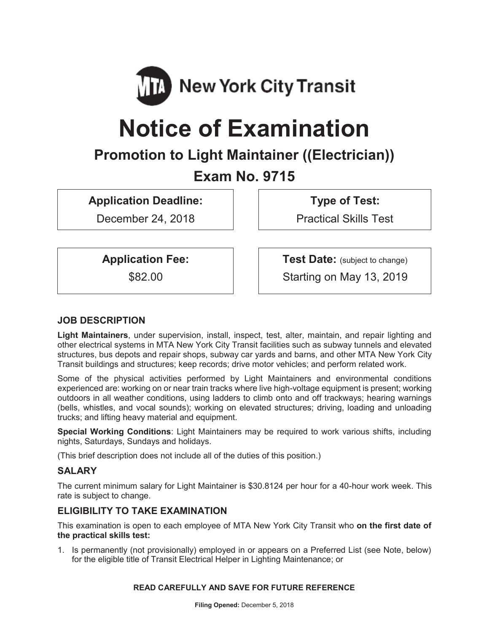

# **Notice of Examination**

## **Promotion to Light Maintainer ((Electrician))**

### **Exam No. 9715**

**Application Deadline:** 

December 24, 2018

**Type of Test:** 

Practical Skills Test

**Application Fee:** 

\$82.00

**Test Date:** (subject to change) Starting on May 13, 2019

#### **JOB DESCRIPTION**

**Light Maintainers**, under supervision, install, inspect, test, alter, maintain, and repair lighting and other electrical systems in MTA New York City Transit facilities such as subway tunnels and elevated structures, bus depots and repair shops, subway car yards and barns, and other MTA New York City Transit buildings and structures; keep records; drive motor vehicles; and perform related work.

Some of the physical activities performed by Light Maintainers and environmental conditions experienced are: working on or near train tracks where live high-voltage equipment is present; working outdoors in all weather conditions, using ladders to climb onto and off trackways; hearing warnings (bells, whistles, and vocal sounds); working on elevated structures; driving, loading and unloading trucks; and lifting heavy material and equipment.

**Special Working Conditions**: Light Maintainers may be required to work various shifts, including nights, Saturdays, Sundays and holidays.

(This brief description does not include all of the duties of this position.)

#### **SALARY**

The current minimum salary for Light Maintainer is \$30.8124 per hour for a 40-hour work week. This rate is subject to change.

#### **ELIGIBILITY TO TAKE EXAMINATION**

This examination is open to each employee of MTA New York City Transit who **on the first date of the practical skills test:** 

1. Is permanently (not provisionally) employed in or appears on a Preferred List (see Note, below) for the eligible title of Transit Electrical Helper in Lighting Maintenance; or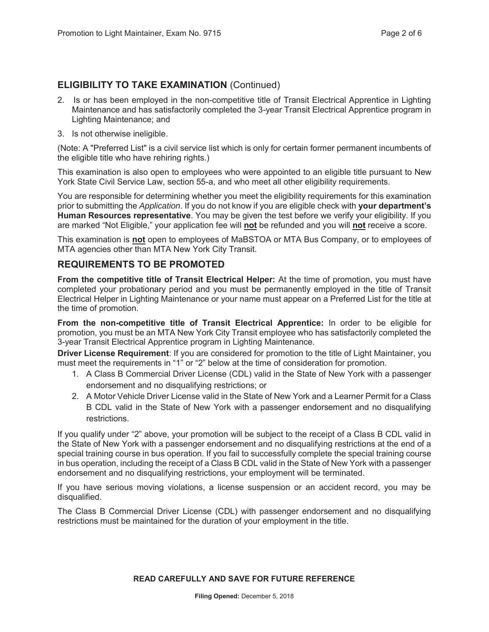#### **ELIGIBILITY TO TAKE EXAMINATION** (Continued)

- 2. Is or has been employed in the non-competitive title of Transit Electrical Apprentice in Lighting Maintenance and has satisfactorily completed the 3-year Transit Electrical Apprentice program in Lighting Maintenance; and
- 3. Is not otherwise ineligible.

(Note: A "Preferred List" is a civil service list which is only for certain former permanent incumbents of the eligible title who have rehiring rights.)

This examination is also open to employees who were appointed to an eligible title pursuant to New York State Civil Service Law, section 55-a, and who meet all other eligibility requirements.

You are responsible for determining whether you meet the eligibility requirements for this examination prior to submitting the *Application*. If you do not know if you are eligible check with **your department's Human Resources representative**. You may be given the test before we verify your eligibility. If you are marked "Not Eligible," your application fee will **not** be refunded and you will **not** receive a score.

This examination is **not** open to employees of MaBSTOA or MTA Bus Company, or to employees of MTA agencies other than MTA New York City Transit.

#### **REQUIREMENTS TO BE PROMOTED**

**From the competitive title of Transit Electrical Helper:** At the time of promotion, you must have completed your probationary period and you must be permanently employed in the title of Transit Electrical Helper in Lighting Maintenance or your name must appear on a Preferred List for the title at the time of promotion.

**From the non-competitive title of Transit Electrical Apprentice:** In order to be eligible for promotion, you must be an MTA New York City Transit employee who has satisfactorily completed the 3-year Transit Electrical Apprentice program in Lighting Maintenance.

**Driver License Requirement**: If you are considered for promotion to the title of Light Maintainer, you must meet the requirements in "1" or "2" below at the time of consideration for promotion.

- 1. A Class B Commercial Driver License (CDL) valid in the State of New York with a passenger endorsement and no disqualifying restrictions; or
- 2. A Motor Vehicle Driver License valid in the State of New York and a Learner Permit for a Class B CDL valid in the State of New York with a passenger endorsement and no disqualifying restrictions.

If you qualify under "2" above, your promotion will be subject to the receipt of a Class B CDL valid in the State of New York with a passenger endorsement and no disqualifying restrictions at the end of a special training course in bus operation. If you fail to successfully complete the special training course in bus operation, including the receipt of a Class B CDL valid in the State of New York with a passenger endorsement and no disqualifying restrictions, your employment will be terminated.

If you have serious moving violations, a license suspension or an accident record, you may be disqualified.

The Class B Commercial Driver License (CDL) with passenger endorsement and no disqualifying restrictions must be maintained for the duration of your employment in the title.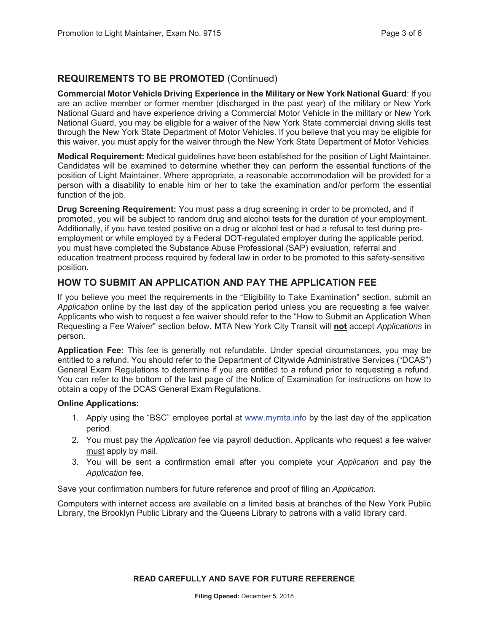#### **REQUIREMENTS TO BE PROMOTED** (Continued)

**Commercial Motor Vehicle Driving Experience in the Military or New York National Guard**: If you are an active member or former member (discharged in the past year) of the military or New York National Guard and have experience driving a Commercial Motor Vehicle in the military or New York National Guard, you may be eligible for a waiver of the New York State commercial driving skills test through the New York State Department of Motor Vehicles. If you believe that you may be eligible for this waiver, you must apply for the waiver through the New York State Department of Motor Vehicles.

**Medical Requirement:** Medical guidelines have been established for the position of Light Maintainer. Candidates will be examined to determine whether they can perform the essential functions of the position of Light Maintainer. Where appropriate, a reasonable accommodation will be provided for a person with a disability to enable him or her to take the examination and/or perform the essential function of the job.

**Drug Screening Requirement:** You must pass a drug screening in order to be promoted, and if promoted, you will be subject to random drug and alcohol tests for the duration of your employment. Additionally, if you have tested positive on a drug or alcohol test or had a refusal to test during preemployment or while employed by a Federal DOT-regulated employer during the applicable period, you must have completed the Substance Abuse Professional (SAP) evaluation, referral and education treatment process required by federal law in order to be promoted to this safety-sensitive position.

#### **HOW TO SUBMIT AN APPLICATION AND PAY THE APPLICATION FEE**

If you believe you meet the requirements in the "Eligibility to Take Examination" section, submit an *Application* online by the last day of the application period unless you are requesting a fee waiver. Applicants who wish to request a fee waiver should refer to the "How to Submit an Application When Requesting a Fee Waiver" section below. MTA New York City Transit will **not** accept *Applications* in person.

**Application Fee:** This fee is generally not refundable. Under special circumstances, you may be entitled to a refund. You should refer to the Department of Citywide Administrative Services ("DCAS") General Exam Regulations to determine if you are entitled to a refund prior to requesting a refund. You can refer to the bottom of the last page of the Notice of Examination for instructions on how to obtain a copy of the DCAS General Exam Regulations.

#### **Online Applications:**

- 1. Apply using the "BSC" employee portal at www.mymta.info by the last day of the application period.
- 2. You must pay the *Application* fee via payroll deduction. Applicants who request a fee waiver must apply by mail.
- 3. You will be sent a confirmation email after you complete your *Application* and pay the *Application* fee.

Save your confirmation numbers for future reference and proof of filing an *Application.*

Computers with internet access are available on a limited basis at branches of the New York Public Library, the Brooklyn Public Library and the Queens Library to patrons with a valid library card.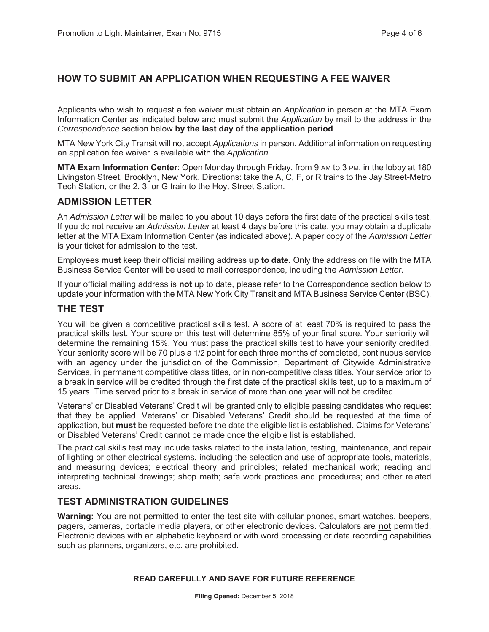#### **HOW TO SUBMIT AN APPLICATION WHEN REQUESTING A FEE WAIVER**

Applicants who wish to request a fee waiver must obtain an *Application* in person at the MTA Exam Information Center as indicated below and must submit the *Application* by mail to the address in the *Correspondence* section below **by the last day of the application period**.

MTA New York City Transit will not accept *Applications* in person. Additional information on requesting an application fee waiver is available with the *Application*.

**MTA Exam Information Center**: Open Monday through Friday, from 9 AM to 3 PM, in the lobby at 180 Livingston Street, Brooklyn, New York. Directions: take the A, C, F, or R trains to the Jay Street-Metro Tech Station, or the 2, 3, or G train to the Hoyt Street Station.

#### **ADMISSION LETTER**

An *Admission Letter* will be mailed to you about 10 days before the first date of the practical skills test. If you do not receive an *Admission Letter* at least 4 days before this date, you may obtain a duplicate letter at the MTA Exam Information Center (as indicated above). A paper copy of the *Admission Letter* is your ticket for admission to the test.

Employees **must** keep their official mailing address **up to date.** Only the address on file with the MTA Business Service Center will be used to mail correspondence, including the *Admission Letter.*

If your official mailing address is **not** up to date, please refer to the Correspondence section below to update your information with the MTA New York City Transit and MTA Business Service Center (BSC).

#### **THE TEST**

You will be given a competitive practical skills test. A score of at least 70% is required to pass the practical skills test. Your score on this test will determine 85% of your final score. Your seniority will determine the remaining 15%. You must pass the practical skills test to have your seniority credited. Your seniority score will be 70 plus a 1/2 point for each three months of completed, continuous service with an agency under the jurisdiction of the Commission, Department of Citywide Administrative Services, in permanent competitive class titles, or in non-competitive class titles. Your service prior to a break in service will be credited through the first date of the practical skills test, up to a maximum of 15 years. Time served prior to a break in service of more than one year will not be credited.

Veterans' or Disabled Veterans' Credit will be granted only to eligible passing candidates who request that they be applied. Veterans' or Disabled Veterans' Credit should be requested at the time of application, but **must** be requested before the date the eligible list is established. Claims for Veterans' or Disabled Veterans' Credit cannot be made once the eligible list is established.

The practical skills test may include tasks related to the installation, testing, maintenance, and repair of lighting or other electrical systems, including the selection and use of appropriate tools, materials, and measuring devices; electrical theory and principles; related mechanical work; reading and interpreting technical drawings; shop math; safe work practices and procedures; and other related areas.

#### **TEST ADMINISTRATION GUIDELINES**

**Warning:** You are not permitted to enter the test site with cellular phones, smart watches, beepers, pagers, cameras, portable media players, or other electronic devices. Calculators are **not** permitted. Electronic devices with an alphabetic keyboard or with word processing or data recording capabilities such as planners, organizers, etc. are prohibited.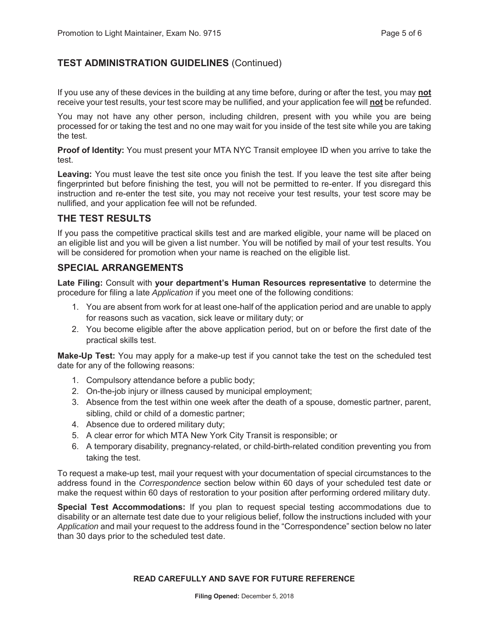#### **TEST ADMINISTRATION GUIDELINES** (Continued)

If you use any of these devices in the building at any time before, during or after the test, you may **not** receive your test results, your test score may be nullified, and your application fee will **not** be refunded.

You may not have any other person, including children, present with you while you are being processed for or taking the test and no one may wait for you inside of the test site while you are taking the test.

**Proof of Identity:** You must present your MTA NYC Transit employee ID when you arrive to take the test.

**Leaving:** You must leave the test site once you finish the test. If you leave the test site after being fingerprinted but before finishing the test, you will not be permitted to re-enter. If you disregard this instruction and re-enter the test site, you may not receive your test results, your test score may be nullified, and your application fee will not be refunded.

#### **THE TEST RESULTS**

If you pass the competitive practical skills test and are marked eligible, your name will be placed on an eligible list and you will be given a list number. You will be notified by mail of your test results. You will be considered for promotion when your name is reached on the eligible list.

#### **SPECIAL ARRANGEMENTS**

**Late Filing:** Consult with **your department's Human Resources representative** to determine the procedure for filing a late *Application* if you meet one of the following conditions:

- 1. You are absent from work for at least one-half of the application period and are unable to apply for reasons such as vacation, sick leave or military duty; or
- 2. You become eligible after the above application period, but on or before the first date of the practical skills test.

**Make-Up Test:** You may apply for a make-up test if you cannot take the test on the scheduled test date for any of the following reasons:

- 1. Compulsory attendance before a public body;
- 2. On-the-job injury or illness caused by municipal employment;
- 3. Absence from the test within one week after the death of a spouse, domestic partner, parent, sibling, child or child of a domestic partner;
- 4. Absence due to ordered military duty;
- 5. A clear error for which MTA New York City Transit is responsible; or
- 6. A temporary disability, pregnancy-related, or child-birth-related condition preventing you from taking the test.

To request a make-up test, mail your request with your documentation of special circumstances to the address found in the *Correspondence* section below within 60 days of your scheduled test date or make the request within 60 days of restoration to your position after performing ordered military duty.

**Special Test Accommodations:** If you plan to request special testing accommodations due to disability or an alternate test date due to your religious belief, follow the instructions included with your *Application* and mail your request to the address found in the "Correspondence" section below no later than 30 days prior to the scheduled test date.